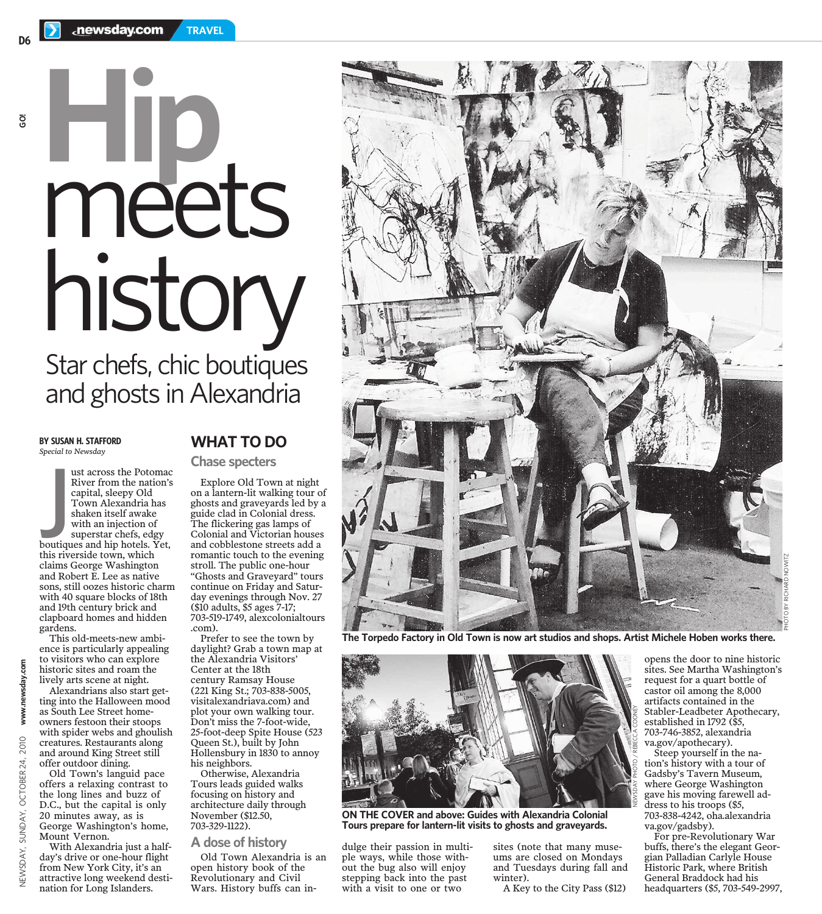# **Hip** meets history Star chefs, chic boutiques and ghosts in Alexandria

**BY SUSAN H. STAFFORD** *Special to Newsday*

NEWSDAY, SUNDAY, OCTOBER 24, 2010 **www.newsday.com GO!**

www.newsday.com

**2010** 24,

**OCTOBER** 

SUNDAY,

**VEWSDAY,** 

ust across the Potomach River from the nation's<br>
capital, sleepy Old<br>
Town Alexandria has<br>
shaken itself awake<br>
with an injection of<br>
superstar chefs, edgy<br>
boutiques and hip hotels. Yet,<br>
this riverside town which ust across the Potomac River from the nation's capital, sleepy Old Town Alexandria has shaken itself awake with an injection of superstar chefs, edgy this riverside town, which claims George Washington and Robert E. Lee as native sons, still oozes historic charm with 40 square blocks of 18th and 19th century brick and clapboard homes and hidden gardens.

Alexandrians also start getting into the Halloween mood as South Lee Street homeowners festoon their stoops with spider webs and ghoulish creatures. Restaurants along and around King Street still offer outdoor dining.

Old Town's languid pace offers a relaxing contrast to the long lines and buzz of D.C., but the capital is only 20 minutes away, as is George Washington's home, Mount Vernon.

With Alexandria just a halfday's drive or one-hour flight from New York City, it's an attractive long weekend destination for Long Islanders.

## **WHAT TO DO**

#### **Chase specters**

Explore Old Town at night on a lantern-lit walking tour of ghosts and graveyards led by a guide clad in Colonial dress. The flickering gas lamps of Colonial and Victorian houses and cobblestone streets add a romantic touch to the evening stroll. The public one-hour "Ghosts and Graveyard" tours continue on Friday and Saturday evenings through Nov. 27 (\$10 adults, \$5 ages 7-17; 703-519-1749, alexcolonialtours .com).

Prefer to see the town by daylight? Grab a town map at the Alexandria Visitors' Center at the 18th century Ramsay House (221 King St.; 703-838-5005, visitalexandriava.com) and plot your own walking tour. Don't miss the 7-foot-wide, 25-foot-deep Spite House (523 Queen St.), built by John Hollensbury in 1830 to annoy his neighbors.

Otherwise, Alexandria Tours leads guided walks focusing on history and architecture daily through November (\$12.50, 703-329-1122).

#### **A dose of history**

Old Town Alexandria is an open history book of the Revolutionary and Civil Wars. History buffs can in-



**The Torpedo Factory in Old Town is now art studios and shops. Artist Michele Hoben works there.**



**ON THE COVER and above: Guides with Alexandria Colonial Tours prepare for lantern-lit visits to ghosts and graveyards.**

dulge their passion in multiple ways, while those without the bug also will enjoy stepping back into the past with a visit to one or two

sites (note that many museums are closed on Mondays and Tuesdays during fall and winter).

A Key to the City Pass (\$12)

opens the door to nine historic sites. See Martha Washington's request for a quart bottle of castor oil among the 8,000 artifacts contained in the Stabler-Leadbeter Apothecary, established in 1792 (\$5, 703-746-3852, alexandria va.gov/apothecary).

PHOTO BY RICHARD NOWITZ

Steep yourself in the nation's history with a tour of Gadsby's Tavern Museum, where George Washington gave his moving farewell address to his troops (\$5, 703-838-4242, oha.alexandria va.gov/gadsby).

ē